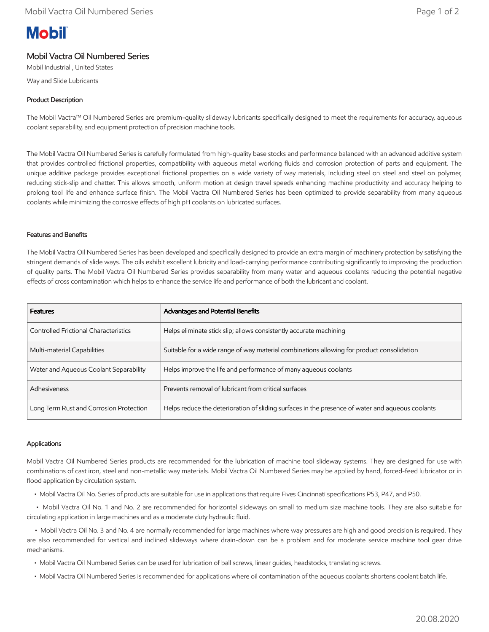# **Mobil**

# Mobil Vactra Oil Numbered Series

Mobil Industrial , United States

Way and Slide Lubricants

# Product Description

The Mobil Vactra™ Oil Numbered Series are premium-quality slideway lubricants specifically designed to meet the requirements for accuracy, aqueous coolant separability, and equipment protection of precision machine tools.

The Mobil Vactra Oil Numbered Series is carefully formulated from high-quality base stocks and performance balanced with an advanced additive system that provides controlled frictional properties, compatibility with aqueous metal working fluids and corrosion protection of parts and equipment. The unique additive package provides exceptional frictional properties on a wide variety of way materials, including steel on steel and steel on polymer, reducing stick-slip and chatter. This allows smooth, uniform motion at design travel speeds enhancing machine productivity and accuracy helping to prolong tool life and enhance surface finish. The Mobil Vactra Oil Numbered Series has been optimized to provide separability from many aqueous coolants while minimizing the corrosive effects of high pH coolants on lubricated surfaces.

# Features and Benefits

The Mobil Vactra Oil Numbered Series has been developed and specifically designed to provide an extra margin of machinery protection by satisfying the stringent demands of slide ways. The oils exhibit excellent lubricity and load-carrying performance contributing significantly to improving the production of quality parts. The Mobil Vactra Oil Numbered Series provides separability from many water and aqueous coolants reducing the potential negative effects of cross contamination which helps to enhance the service life and performance of both the lubricant and coolant.

| Features                                     | <b>Advantages and Potential Benefits</b>                                                         |
|----------------------------------------------|--------------------------------------------------------------------------------------------------|
| <b>Controlled Frictional Characteristics</b> | Helps eliminate stick slip; allows consistently accurate machining                               |
| Multi-material Capabilities                  | Suitable for a wide range of way material combinations allowing for product consolidation        |
| Water and Aqueous Coolant Separability       | Helps improve the life and performance of many aqueous coolants                                  |
| Adhesiveness                                 | Prevents removal of lubricant from critical surfaces                                             |
| Long Term Rust and Corrosion Protection      | Helps reduce the deterioration of sliding surfaces in the presence of water and aqueous coolants |

# Applications

Mobil Vactra Oil Numbered Series products are recommended for the lubrication of machine tool slideway systems. They are designed for use with combinations of cast iron, steel and non-metallic way materials. Mobil Vactra Oil Numbered Series may be applied by hand, forced-feed lubricator or in flood application by circulation system.

• Mobil Vactra Oil No. Series of products are suitable for use in applications that require Fives Cincinnati specifications P53, P47, and P50.

 • Mobil Vactra Oil No. 1 and No. 2 are recommended for horizontal slideways on small to medium size machine tools. They are also suitable for circulating application in large machines and as a moderate duty hydraulic fluid.

 • Mobil Vactra Oil No. 3 and No. 4 are normally recommended for large machines where way pressures are high and good precision is required. They are also recommended for vertical and inclined slideways where drain-down can be a problem and for moderate service machine tool gear drive mechanisms.

- Mobil Vactra Oil Numbered Series can be used for lubrication of ball screws, linear guides, headstocks, translating screws.
- Mobil Vactra Oil Numbered Series is recommended for applications where oil contamination of the aqueous coolants shortens coolant batch life.